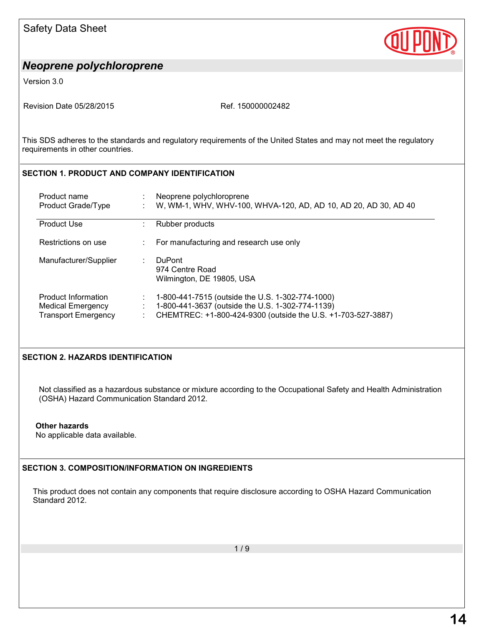

Version 3.0

Revision Date 05/28/2015 Revision Date 05/28/2015

This SDS adheres to the standards and regulatory requirements of the United States and may not meet the regulatory requirements in other countries.

## **SECTION 1. PRODUCT AND COMPANY IDENTIFICATION**

| Product name<br>Product Grade/Type                                            | Neoprene polychloroprene<br>W, WM-1, WHV, WHV-100, WHVA-120, AD, AD 10, AD 20, AD 30, AD 40                                                                          |
|-------------------------------------------------------------------------------|----------------------------------------------------------------------------------------------------------------------------------------------------------------------|
| <b>Product Use</b>                                                            | Rubber products                                                                                                                                                      |
| Restrictions on use                                                           | For manufacturing and research use only                                                                                                                              |
| Manufacturer/Supplier                                                         | <b>DuPont</b><br>974 Centre Road<br>Wilmington, DE 19805, USA                                                                                                        |
| Product Information<br><b>Medical Emergency</b><br><b>Transport Emergency</b> | 1-800-441-7515 (outside the U.S. 1-302-774-1000)<br>1-800-441-3637 (outside the U.S. 1-302-774-1139)<br>CHEMTREC: +1-800-424-9300 (outside the U.S. +1-703-527-3887) |

## **SECTION 2. HAZARDS IDENTIFICATION**

Not classified as a hazardous substance or mixture according to the Occupational Safety and Health Administration (OSHA) Hazard Communication Standard 2012.

#### **Other hazards**

No applicable data available.

## **SECTION 3. COMPOSITION/INFORMATION ON INGREDIENTS**

This product does not contain any components that require disclosure according to OSHA Hazard Communication Standard 2012.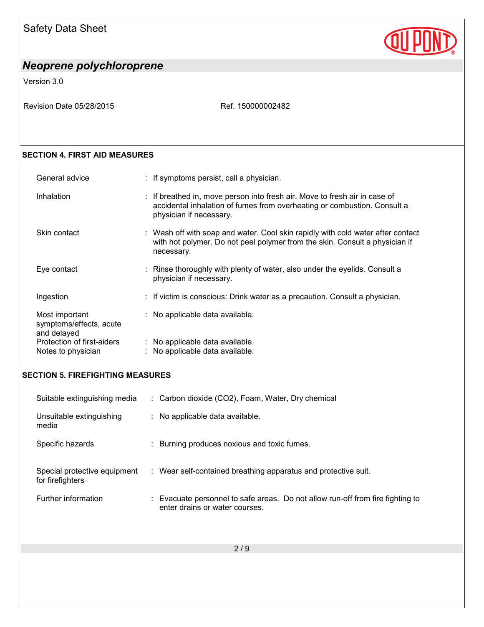

Version 3.0

Revision Date 05/28/2015 Ref. 150000002482

## **SECTION 4. FIRST AID MEASURES**

| General advice                                           | : If symptoms persist, call a physician.                                                                                                                                          |
|----------------------------------------------------------|-----------------------------------------------------------------------------------------------------------------------------------------------------------------------------------|
| Inhalation                                               | : If breathed in, move person into fresh air. Move to fresh air in case of<br>accidental inhalation of fumes from overheating or combustion. Consult a<br>physician if necessary. |
| Skin contact                                             | : Wash off with soap and water. Cool skin rapidly with cold water after contact<br>with hot polymer. Do not peel polymer from the skin. Consult a physician if<br>necessary.      |
| Eye contact                                              | : Rinse thoroughly with plenty of water, also under the eyelids. Consult a<br>physician if necessary.                                                                             |
| Ingestion                                                | : If victim is conscious: Drink water as a precaution. Consult a physician.                                                                                                       |
| Most important<br>symptoms/effects, acute<br>and delayed | : No applicable data available.                                                                                                                                                   |
| Protection of first-aiders                               | : No applicable data available.<br>: No applicable data available.                                                                                                                |
| Notes to physician                                       |                                                                                                                                                                                   |

#### **SECTION 5. FIREFIGHTING MEASURES**

| Suitable extinguishing media                     | : Carbon dioxide (CO2), Foam, Water, Dry chemical                                                                |
|--------------------------------------------------|------------------------------------------------------------------------------------------------------------------|
| Unsuitable extinguishing<br>media                | : No applicable data available.                                                                                  |
| Specific hazards                                 | : Burning produces noxious and toxic fumes.                                                                      |
| Special protective equipment<br>for firefighters | : Wear self-contained breathing apparatus and protective suit.                                                   |
| Further information                              | : Evacuate personnel to safe areas. Do not allow run-off from fire fighting to<br>enter drains or water courses. |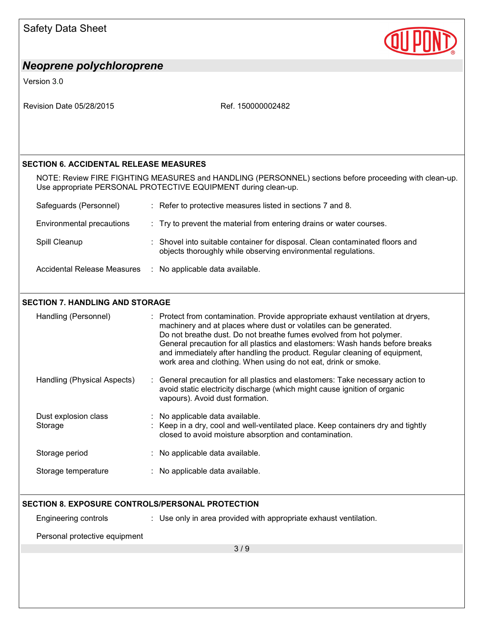| <b>Safety Data Sheet</b>                         |                                                                                                                                                                                                                                                                                                                                                                                                                                                              |
|--------------------------------------------------|--------------------------------------------------------------------------------------------------------------------------------------------------------------------------------------------------------------------------------------------------------------------------------------------------------------------------------------------------------------------------------------------------------------------------------------------------------------|
| <b>Neoprene polychloroprene</b>                  |                                                                                                                                                                                                                                                                                                                                                                                                                                                              |
| Version 3.0                                      |                                                                                                                                                                                                                                                                                                                                                                                                                                                              |
| Revision Date 05/28/2015                         | Ref. 150000002482                                                                                                                                                                                                                                                                                                                                                                                                                                            |
| <b>SECTION 6. ACCIDENTAL RELEASE MEASURES</b>    |                                                                                                                                                                                                                                                                                                                                                                                                                                                              |
|                                                  | NOTE: Review FIRE FIGHTING MEASURES and HANDLING (PERSONNEL) sections before proceeding with clean-up.<br>Use appropriate PERSONAL PROTECTIVE EQUIPMENT during clean-up.                                                                                                                                                                                                                                                                                     |
| Safeguards (Personnel)                           | : Refer to protective measures listed in sections 7 and 8.                                                                                                                                                                                                                                                                                                                                                                                                   |
| Environmental precautions                        | : Try to prevent the material from entering drains or water courses.                                                                                                                                                                                                                                                                                                                                                                                         |
| Spill Cleanup                                    | Shovel into suitable container for disposal. Clean contaminated floors and<br>objects thoroughly while observing environmental regulations.                                                                                                                                                                                                                                                                                                                  |
| <b>Accidental Release Measures</b>               | : No applicable data available.                                                                                                                                                                                                                                                                                                                                                                                                                              |
| <b>SECTION 7. HANDLING AND STORAGE</b>           |                                                                                                                                                                                                                                                                                                                                                                                                                                                              |
| Handling (Personnel)                             | : Protect from contamination. Provide appropriate exhaust ventilation at dryers,<br>machinery and at places where dust or volatiles can be generated.<br>Do not breathe dust. Do not breathe fumes evolved from hot polymer.<br>General precaution for all plastics and elastomers: Wash hands before breaks<br>and immediately after handling the product. Regular cleaning of equipment,<br>work area and clothing. When using do not eat, drink or smoke. |
| Handling (Physical Aspects)                      | General precaution for all plastics and elastomers: Take necessary action to<br>avoid static electricity discharge (which might cause ignition of organic<br>vapours). Avoid dust formation.                                                                                                                                                                                                                                                                 |
| Dust explosion class<br>Storage                  | No applicable data available.<br>Keep in a dry, cool and well-ventilated place. Keep containers dry and tightly<br>closed to avoid moisture absorption and contamination.                                                                                                                                                                                                                                                                                    |
| Storage period                                   | : No applicable data available.                                                                                                                                                                                                                                                                                                                                                                                                                              |
| Storage temperature                              | : No applicable data available.                                                                                                                                                                                                                                                                                                                                                                                                                              |
| SECTION 8. EXPOSURE CONTROLS/PERSONAL PROTECTION |                                                                                                                                                                                                                                                                                                                                                                                                                                                              |
| Engineering controls                             | : Use only in area provided with appropriate exhaust ventilation.                                                                                                                                                                                                                                                                                                                                                                                            |
| Personal protective equipment                    |                                                                                                                                                                                                                                                                                                                                                                                                                                                              |
|                                                  | 3/9                                                                                                                                                                                                                                                                                                                                                                                                                                                          |
|                                                  |                                                                                                                                                                                                                                                                                                                                                                                                                                                              |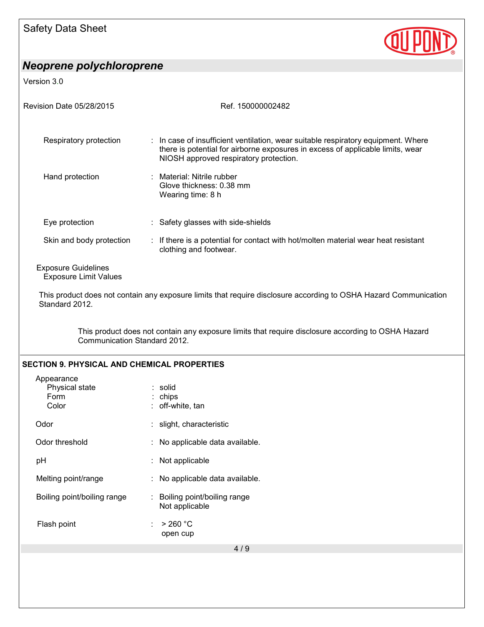

Version 3.0

| Revision Date 05/28/2015                                   | Ref. 150000002482                                                                                                                                                                                             |
|------------------------------------------------------------|---------------------------------------------------------------------------------------------------------------------------------------------------------------------------------------------------------------|
| Respiratory protection                                     | : In case of insufficient ventilation, wear suitable respiratory equipment. Where<br>there is potential for airborne exposures in excess of applicable limits, wear<br>NIOSH approved respiratory protection. |
| Hand protection                                            | Material: Nitrile rubber<br>Glove thickness: 0.38 mm<br>Wearing time: 8 h                                                                                                                                     |
| Eye protection                                             | : Safety glasses with side-shields                                                                                                                                                                            |
| Skin and body protection                                   | : If there is a potential for contact with hot/molten material wear heat resistant<br>clothing and footwear.                                                                                                  |
| <b>Exposure Guidelines</b><br><b>Exposure Limit Values</b> |                                                                                                                                                                                                               |
| Standard 2012.                                             | This product does not contain any exposure limits that require disclosure according to OSHA Hazard Communication                                                                                              |
| Communication Standard 2012.                               | This product does not contain any exposure limits that require disclosure according to OSHA Hazard                                                                                                            |
| <b>SECTION 9. PHYSICAL AND CHEMICAL PROPERTIES</b>         |                                                                                                                                                                                                               |
| Appearance<br>Physical state<br>Form<br>Color              | : solid<br>chips<br>off-white, tan                                                                                                                                                                            |
| Odor                                                       | : slight, characteristic                                                                                                                                                                                      |
| Odor threshold                                             | : No applicable data available.                                                                                                                                                                               |
| pH                                                         | Not applicable                                                                                                                                                                                                |
| Melting point/range                                        | No applicable data available.                                                                                                                                                                                 |
| Boiling point/boiling range                                | Boiling point/boiling range<br>Not applicable                                                                                                                                                                 |
| Flash point                                                | $>$ 260 °C<br>open cup                                                                                                                                                                                        |
|                                                            | 4/9                                                                                                                                                                                                           |
|                                                            |                                                                                                                                                                                                               |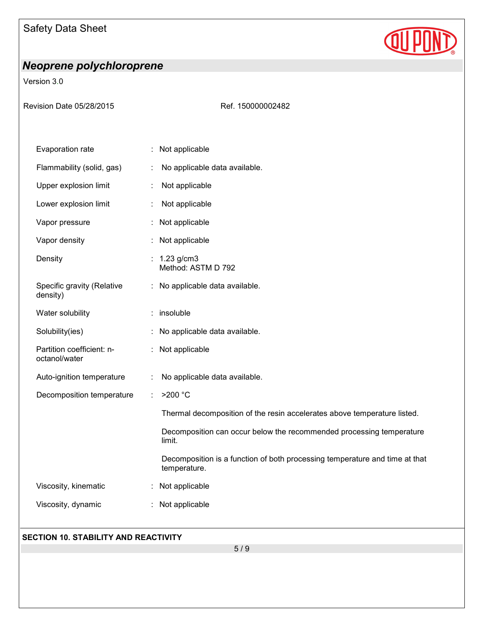

Version 3.0

| Revision Date 05/28/2015                   | Ref. 150000002482                                                                           |
|--------------------------------------------|---------------------------------------------------------------------------------------------|
|                                            |                                                                                             |
| Evaporation rate                           | Not applicable                                                                              |
| Flammability (solid, gas)                  | No applicable data available.                                                               |
| Upper explosion limit                      | Not applicable                                                                              |
| Lower explosion limit                      | Not applicable                                                                              |
| Vapor pressure                             | Not applicable                                                                              |
| Vapor density                              | Not applicable                                                                              |
| Density                                    | 1.23 g/cm3<br>Method: ASTM D 792                                                            |
| Specific gravity (Relative<br>density)     | : No applicable data available.                                                             |
| Water solubility                           | insoluble<br>÷                                                                              |
| Solubility(ies)                            | No applicable data available.                                                               |
| Partition coefficient: n-<br>octanol/water | Not applicable                                                                              |
| Auto-ignition temperature                  | No applicable data available.                                                               |
| Decomposition temperature                  | >200 °C                                                                                     |
|                                            | Thermal decomposition of the resin accelerates above temperature listed.                    |
|                                            | Decomposition can occur below the recommended processing temperature<br>limit.              |
|                                            | Decomposition is a function of both processing temperature and time at that<br>temperature. |
| Viscosity, kinematic                       | Not applicable                                                                              |
| Viscosity, dynamic                         | Not applicable                                                                              |
|                                            |                                                                                             |

## **SECTION 10. STABILITY AND REACTIVITY**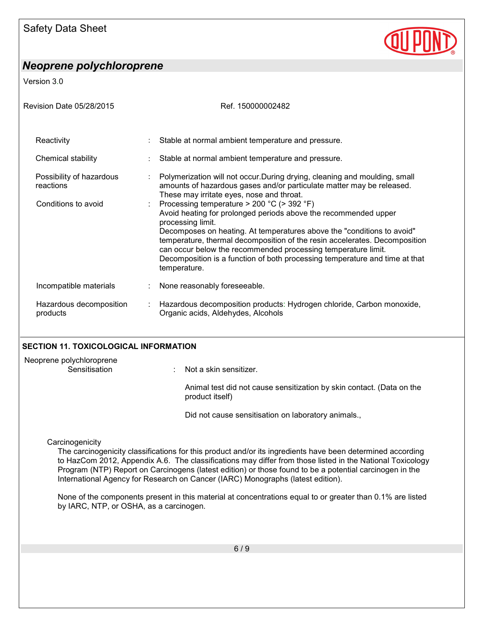Version 3.0

| Revision Date 05/28/2015              | Ref. 150000002482                                                                                                                                                                                                                                                                                                                                                                                                                                                 |  |
|---------------------------------------|-------------------------------------------------------------------------------------------------------------------------------------------------------------------------------------------------------------------------------------------------------------------------------------------------------------------------------------------------------------------------------------------------------------------------------------------------------------------|--|
| Reactivity                            | Stable at normal ambient temperature and pressure.                                                                                                                                                                                                                                                                                                                                                                                                                |  |
| Chemical stability                    | Stable at normal ambient temperature and pressure.                                                                                                                                                                                                                                                                                                                                                                                                                |  |
| Possibility of hazardous<br>reactions | Polymerization will not occur. During drying, cleaning and moulding, small<br>amounts of hazardous gases and/or particulate matter may be released.<br>These may irritate eyes, nose and throat.                                                                                                                                                                                                                                                                  |  |
| Conditions to avoid                   | : Processing temperature $>$ 200 °C ( $>$ 392 °F)<br>Avoid heating for prolonged periods above the recommended upper<br>processing limit.<br>Decomposes on heating. At temperatures above the "conditions to avoid"<br>temperature, thermal decomposition of the resin accelerates. Decomposition<br>can occur below the recommended processing temperature limit.<br>Decomposition is a function of both processing temperature and time at that<br>temperature. |  |
| Incompatible materials                | None reasonably foreseeable.                                                                                                                                                                                                                                                                                                                                                                                                                                      |  |
| Hazardous decomposition<br>products   | Hazardous decomposition products: Hydrogen chloride, Carbon monoxide,<br>Organic acids, Aldehydes, Alcohols                                                                                                                                                                                                                                                                                                                                                       |  |

## **SECTION 11. TOXICOLOGICAL INFORMATION**

| Neoprene polychloroprene<br>Sensitisation | Not a skin sensitizer.                                                                   |
|-------------------------------------------|------------------------------------------------------------------------------------------|
|                                           | Animal test did not cause sensitization by skin contact. (Data on the<br>product itself) |
|                                           | Did not cause sensitisation on laboratory animals.,                                      |
| Carcinogenicity                           |                                                                                          |

The carcinogenicity classifications for this product and/or its ingredients have been determined according to HazCom 2012, Appendix A.6. The classifications may differ from those listed in the National Toxicology Program (NTP) Report on Carcinogens (latest edition) or those found to be a potential carcinogen in the International Agency for Research on Cancer (IARC) Monographs (latest edition).

None of the components present in this material at concentrations equal to or greater than 0.1% are listed by IARC, NTP, or OSHA, as a carcinogen.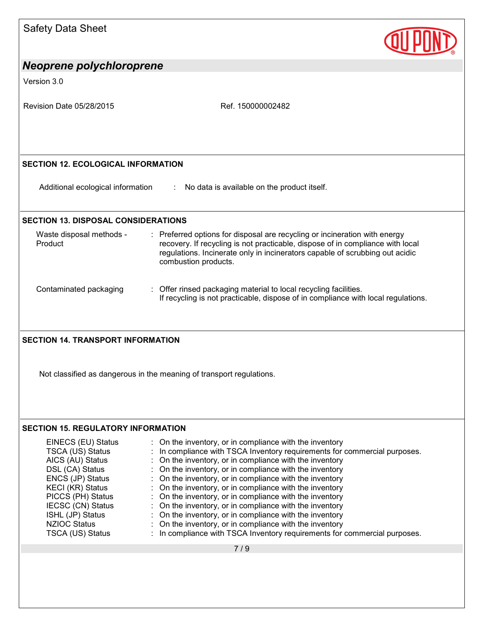| <b>Safety Data Sheet</b>                                                                                                                                                                                                              |                                                                                                                                                                                                                                                                                                                                                                                                                                                                                                                                                                                                                                                                                     |
|---------------------------------------------------------------------------------------------------------------------------------------------------------------------------------------------------------------------------------------|-------------------------------------------------------------------------------------------------------------------------------------------------------------------------------------------------------------------------------------------------------------------------------------------------------------------------------------------------------------------------------------------------------------------------------------------------------------------------------------------------------------------------------------------------------------------------------------------------------------------------------------------------------------------------------------|
| Neoprene polychloroprene                                                                                                                                                                                                              |                                                                                                                                                                                                                                                                                                                                                                                                                                                                                                                                                                                                                                                                                     |
| Version 3.0                                                                                                                                                                                                                           |                                                                                                                                                                                                                                                                                                                                                                                                                                                                                                                                                                                                                                                                                     |
| Revision Date 05/28/2015                                                                                                                                                                                                              | Ref. 150000002482                                                                                                                                                                                                                                                                                                                                                                                                                                                                                                                                                                                                                                                                   |
| <b>SECTION 12. ECOLOGICAL INFORMATION</b>                                                                                                                                                                                             |                                                                                                                                                                                                                                                                                                                                                                                                                                                                                                                                                                                                                                                                                     |
| Additional ecological information                                                                                                                                                                                                     | : No data is available on the product itself.                                                                                                                                                                                                                                                                                                                                                                                                                                                                                                                                                                                                                                       |
| <b>SECTION 13. DISPOSAL CONSIDERATIONS</b>                                                                                                                                                                                            |                                                                                                                                                                                                                                                                                                                                                                                                                                                                                                                                                                                                                                                                                     |
| Waste disposal methods -<br>Product                                                                                                                                                                                                   | : Preferred options for disposal are recycling or incineration with energy<br>recovery. If recycling is not practicable, dispose of in compliance with local<br>regulations. Incinerate only in incinerators capable of scrubbing out acidic<br>combustion products.                                                                                                                                                                                                                                                                                                                                                                                                                |
| Contaminated packaging                                                                                                                                                                                                                | : Offer rinsed packaging material to local recycling facilities.<br>If recycling is not practicable, dispose of in compliance with local regulations.                                                                                                                                                                                                                                                                                                                                                                                                                                                                                                                               |
| <b>SECTION 14. TRANSPORT INFORMATION</b>                                                                                                                                                                                              |                                                                                                                                                                                                                                                                                                                                                                                                                                                                                                                                                                                                                                                                                     |
|                                                                                                                                                                                                                                       | Not classified as dangerous in the meaning of transport regulations.                                                                                                                                                                                                                                                                                                                                                                                                                                                                                                                                                                                                                |
| <b>SECTION 15. REGULATORY INFORMATION</b>                                                                                                                                                                                             |                                                                                                                                                                                                                                                                                                                                                                                                                                                                                                                                                                                                                                                                                     |
| EINECS (EU) Status<br>TSCA (US) Status<br>AICS (AU) Status<br>DSL (CA) Status<br>ENCS (JP) Status<br><b>KECI (KR) Status</b><br>PICCS (PH) Status<br>IECSC (CN) Status<br>ISHL (JP) Status<br><b>NZIOC Status</b><br>TSCA (US) Status | On the inventory, or in compliance with the inventory<br>In compliance with TSCA Inventory requirements for commercial purposes.<br>On the inventory, or in compliance with the inventory<br>On the inventory, or in compliance with the inventory<br>On the inventory, or in compliance with the inventory<br>On the inventory, or in compliance with the inventory<br>On the inventory, or in compliance with the inventory<br>On the inventory, or in compliance with the inventory<br>On the inventory, or in compliance with the inventory<br>On the inventory, or in compliance with the inventory<br>In compliance with TSCA Inventory requirements for commercial purposes. |
|                                                                                                                                                                                                                                       | 7/9                                                                                                                                                                                                                                                                                                                                                                                                                                                                                                                                                                                                                                                                                 |
|                                                                                                                                                                                                                                       |                                                                                                                                                                                                                                                                                                                                                                                                                                                                                                                                                                                                                                                                                     |
|                                                                                                                                                                                                                                       |                                                                                                                                                                                                                                                                                                                                                                                                                                                                                                                                                                                                                                                                                     |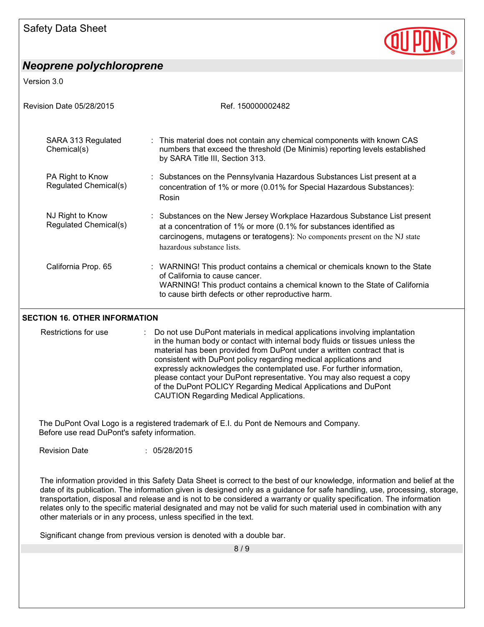Version 3.0

| Ref. 150000002482                                                                                                                                                                                                                                             |
|---------------------------------------------------------------------------------------------------------------------------------------------------------------------------------------------------------------------------------------------------------------|
| : This material does not contain any chemical components with known CAS<br>numbers that exceed the threshold (De Minimis) reporting levels established<br>by SARA Title III, Section 313.                                                                     |
| : Substances on the Pennsylvania Hazardous Substances List present at a<br>concentration of 1% or more (0.01% for Special Hazardous Substances):<br>Rosin                                                                                                     |
| : Substances on the New Jersey Workplace Hazardous Substance List present<br>at a concentration of 1% or more (0.1% for substances identified as<br>carcinogens, mutagens or teratogens): No components present on the NJ state<br>hazardous substance lists. |
| : WARNING! This product contains a chemical or chemicals known to the State<br>of California to cause cancer.<br>WARNING! This product contains a chemical known to the State of California<br>to cause birth defects or other reproductive harm.             |
|                                                                                                                                                                                                                                                               |

#### **SECTION 16. OTHER INFORMATION**

Restrictions for use : Do not use DuPont materials in medical applications involving implantation in the human body or contact with internal body fluids or tissues unless the material has been provided from DuPont under a written contract that is consistent with DuPont policy regarding medical applications and expressly acknowledges the contemplated use. For further information, please contact your DuPont representative. You may also request a copy of the DuPont POLICY Regarding Medical Applications and DuPont CAUTION Regarding Medical Applications.

The DuPont Oval Logo is a registered trademark of E.I. du Pont de Nemours and Company. Before use read DuPont's safety information.

Revision Date : 05/28/2015

The information provided in this Safety Data Sheet is correct to the best of our knowledge, information and belief at the date of its publication. The information given is designed only as a guidance for safe handling, use, processing, storage, transportation, disposal and release and is not to be considered a warranty or quality specification. The information relates only to the specific material designated and may not be valid for such material used in combination with any other materials or in any process, unless specified in the text.

Significant change from previous version is denoted with a double bar.

8 / 9